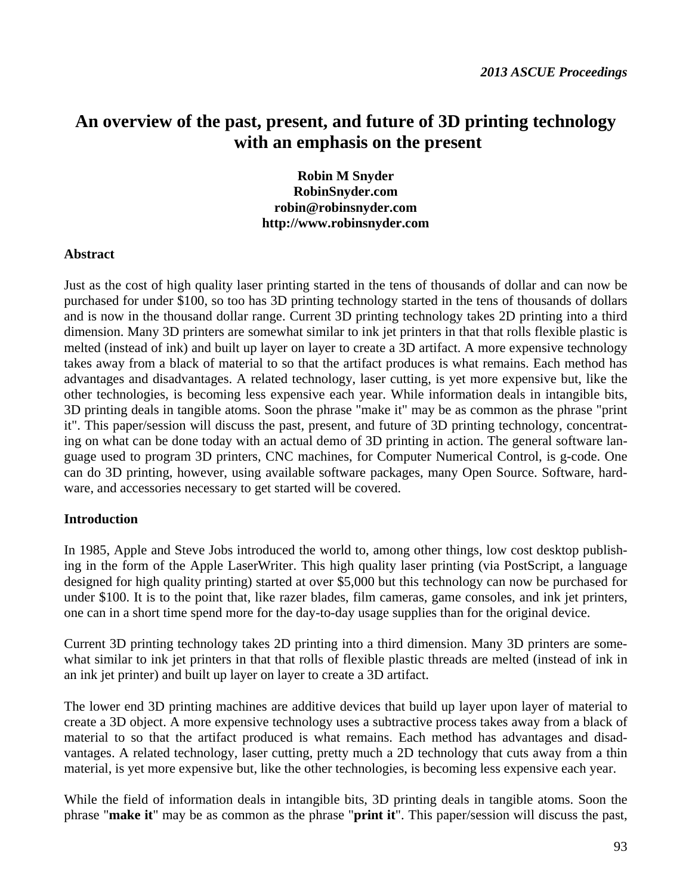# **An overview of the past, present, and future of 3D printing technology with an emphasis on the present**

**Robin M Snyder RobinSnyder.com robin@robinsnyder.com http://www.robinsnyder.com** 

#### **Abstract**

Just as the cost of high quality laser printing started in the tens of thousands of dollar and can now be purchased for under \$100, so too has 3D printing technology started in the tens of thousands of dollars and is now in the thousand dollar range. Current 3D printing technology takes 2D printing into a third dimension. Many 3D printers are somewhat similar to ink jet printers in that that rolls flexible plastic is melted (instead of ink) and built up layer on layer to create a 3D artifact. A more expensive technology takes away from a black of material to so that the artifact produces is what remains. Each method has advantages and disadvantages. A related technology, laser cutting, is yet more expensive but, like the other technologies, is becoming less expensive each year. While information deals in intangible bits, 3D printing deals in tangible atoms. Soon the phrase "make it" may be as common as the phrase "print it". This paper/session will discuss the past, present, and future of 3D printing technology, concentrating on what can be done today with an actual demo of 3D printing in action. The general software language used to program 3D printers, CNC machines, for Computer Numerical Control, is g-code. One can do 3D printing, however, using available software packages, many Open Source. Software, hardware, and accessories necessary to get started will be covered.

#### **Introduction**

In 1985, Apple and Steve Jobs introduced the world to, among other things, low cost desktop publishing in the form of the Apple LaserWriter. This high quality laser printing (via PostScript, a language designed for high quality printing) started at over \$5,000 but this technology can now be purchased for under \$100. It is to the point that, like razer blades, film cameras, game consoles, and ink jet printers, one can in a short time spend more for the day-to-day usage supplies than for the original device.

Current 3D printing technology takes 2D printing into a third dimension. Many 3D printers are somewhat similar to ink jet printers in that that rolls of flexible plastic threads are melted (instead of ink in an ink jet printer) and built up layer on layer to create a 3D artifact.

The lower end 3D printing machines are additive devices that build up layer upon layer of material to create a 3D object. A more expensive technology uses a subtractive process takes away from a black of material to so that the artifact produced is what remains. Each method has advantages and disadvantages. A related technology, laser cutting, pretty much a 2D technology that cuts away from a thin material, is yet more expensive but, like the other technologies, is becoming less expensive each year.

While the field of information deals in intangible bits, 3D printing deals in tangible atoms. Soon the phrase "**make it**" may be as common as the phrase "**print it**". This paper/session will discuss the past,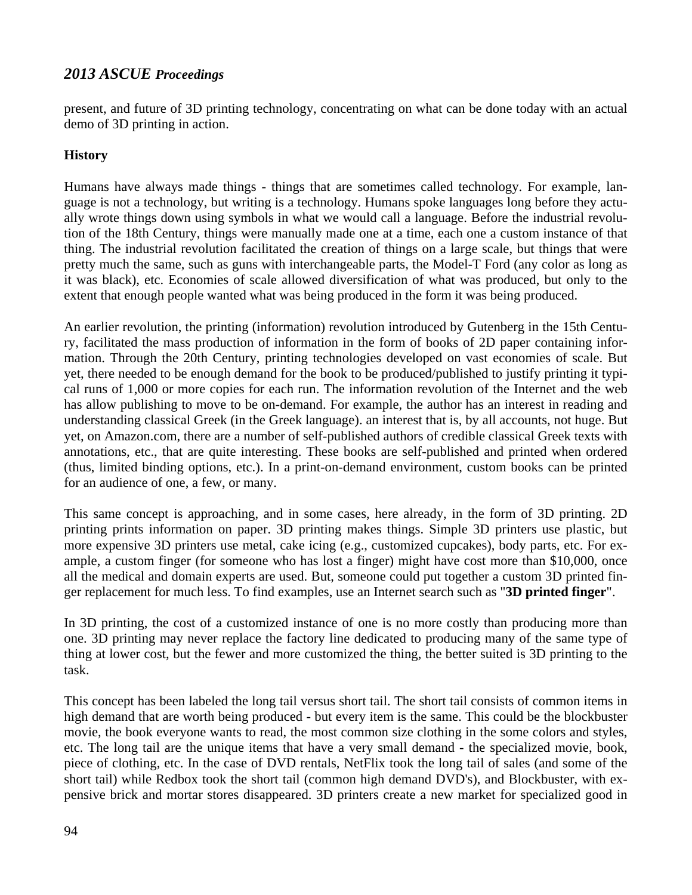## *2013 ASCUE Proceedings*

present, and future of 3D printing technology, concentrating on what can be done today with an actual demo of 3D printing in action.

## **History**

Humans have always made things - things that are sometimes called technology. For example, language is not a technology, but writing is a technology. Humans spoke languages long before they actually wrote things down using symbols in what we would call a language. Before the industrial revolution of the 18th Century, things were manually made one at a time, each one a custom instance of that thing. The industrial revolution facilitated the creation of things on a large scale, but things that were pretty much the same, such as guns with interchangeable parts, the Model-T Ford (any color as long as it was black), etc. Economies of scale allowed diversification of what was produced, but only to the extent that enough people wanted what was being produced in the form it was being produced.

An earlier revolution, the printing (information) revolution introduced by Gutenberg in the 15th Century, facilitated the mass production of information in the form of books of 2D paper containing information. Through the 20th Century, printing technologies developed on vast economies of scale. But yet, there needed to be enough demand for the book to be produced/published to justify printing it typical runs of 1,000 or more copies for each run. The information revolution of the Internet and the web has allow publishing to move to be on-demand. For example, the author has an interest in reading and understanding classical Greek (in the Greek language). an interest that is, by all accounts, not huge. But yet, on Amazon.com, there are a number of self-published authors of credible classical Greek texts with annotations, etc., that are quite interesting. These books are self-published and printed when ordered (thus, limited binding options, etc.). In a print-on-demand environment, custom books can be printed for an audience of one, a few, or many.

This same concept is approaching, and in some cases, here already, in the form of 3D printing. 2D printing prints information on paper. 3D printing makes things. Simple 3D printers use plastic, but more expensive 3D printers use metal, cake icing (e.g., customized cupcakes), body parts, etc. For example, a custom finger (for someone who has lost a finger) might have cost more than \$10,000, once all the medical and domain experts are used. But, someone could put together a custom 3D printed finger replacement for much less. To find examples, use an Internet search such as "**3D printed finger**".

In 3D printing, the cost of a customized instance of one is no more costly than producing more than one. 3D printing may never replace the factory line dedicated to producing many of the same type of thing at lower cost, but the fewer and more customized the thing, the better suited is 3D printing to the task.

This concept has been labeled the long tail versus short tail. The short tail consists of common items in high demand that are worth being produced - but every item is the same. This could be the blockbuster movie, the book everyone wants to read, the most common size clothing in the some colors and styles, etc. The long tail are the unique items that have a very small demand - the specialized movie, book, piece of clothing, etc. In the case of DVD rentals, NetFlix took the long tail of sales (and some of the short tail) while Redbox took the short tail (common high demand DVD's), and Blockbuster, with expensive brick and mortar stores disappeared. 3D printers create a new market for specialized good in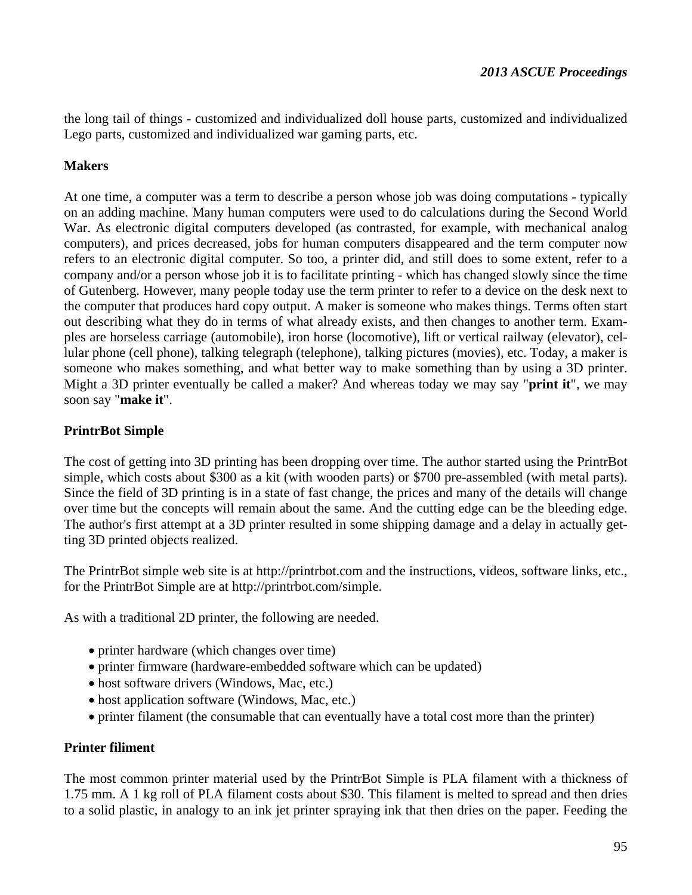the long tail of things - customized and individualized doll house parts, customized and individualized Lego parts, customized and individualized war gaming parts, etc.

## **Makers**

At one time, a computer was a term to describe a person whose job was doing computations - typically on an adding machine. Many human computers were used to do calculations during the Second World War. As electronic digital computers developed (as contrasted, for example, with mechanical analog computers), and prices decreased, jobs for human computers disappeared and the term computer now refers to an electronic digital computer. So too, a printer did, and still does to some extent, refer to a company and/or a person whose job it is to facilitate printing - which has changed slowly since the time of Gutenberg. However, many people today use the term printer to refer to a device on the desk next to the computer that produces hard copy output. A maker is someone who makes things. Terms often start out describing what they do in terms of what already exists, and then changes to another term. Examples are horseless carriage (automobile), iron horse (locomotive), lift or vertical railway (elevator), cellular phone (cell phone), talking telegraph (telephone), talking pictures (movies), etc. Today, a maker is someone who makes something, and what better way to make something than by using a 3D printer. Might a 3D printer eventually be called a maker? And whereas today we may say "**print it**", we may soon say "**make it**".

## **PrintrBot Simple**

The cost of getting into 3D printing has been dropping over time. The author started using the PrintrBot simple, which costs about \$300 as a kit (with wooden parts) or \$700 pre-assembled (with metal parts). Since the field of 3D printing is in a state of fast change, the prices and many of the details will change over time but the concepts will remain about the same. And the cutting edge can be the bleeding edge. The author's first attempt at a 3D printer resulted in some shipping damage and a delay in actually getting 3D printed objects realized.

The PrintrBot simple web site is at http://printrbot.com and the instructions, videos, software links, etc., for the PrintrBot Simple are at http://printrbot.com/simple.

As with a traditional 2D printer, the following are needed.

- printer hardware (which changes over time)
- printer firmware (hardware-embedded software which can be updated)
- host software drivers (Windows, Mac, etc.)
- host application software (Windows, Mac, etc.)
- printer filament (the consumable that can eventually have a total cost more than the printer)

### **Printer filiment**

The most common printer material used by the PrintrBot Simple is PLA filament with a thickness of 1.75 mm. A 1 kg roll of PLA filament costs about \$30. This filament is melted to spread and then dries to a solid plastic, in analogy to an ink jet printer spraying ink that then dries on the paper. Feeding the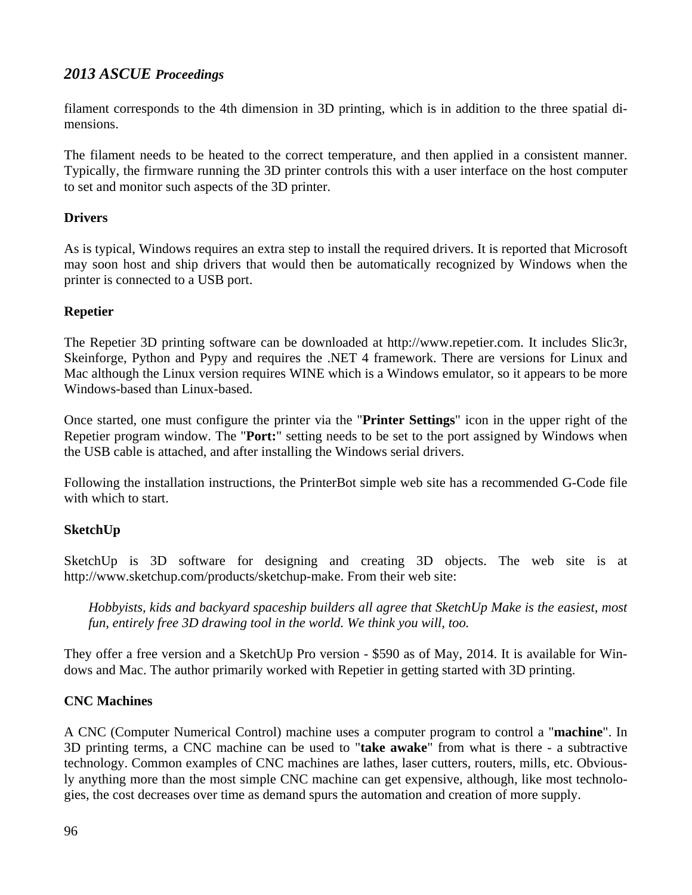## *2013 ASCUE Proceedings*

filament corresponds to the 4th dimension in 3D printing, which is in addition to the three spatial dimensions.

The filament needs to be heated to the correct temperature, and then applied in a consistent manner. Typically, the firmware running the 3D printer controls this with a user interface on the host computer to set and monitor such aspects of the 3D printer.

## **Drivers**

As is typical, Windows requires an extra step to install the required drivers. It is reported that Microsoft may soon host and ship drivers that would then be automatically recognized by Windows when the printer is connected to a USB port.

## **Repetier**

The Repetier 3D printing software can be downloaded at http://www.repetier.com. It includes Slic3r, Skeinforge, Python and Pypy and requires the .NET 4 framework. There are versions for Linux and Mac although the Linux version requires WINE which is a Windows emulator, so it appears to be more Windows-based than Linux-based.

Once started, one must configure the printer via the "**Printer Settings**" icon in the upper right of the Repetier program window. The "**Port:**" setting needs to be set to the port assigned by Windows when the USB cable is attached, and after installing the Windows serial drivers.

Following the installation instructions, the PrinterBot simple web site has a recommended G-Code file with which to start.

### **SketchUp**

SketchUp is 3D software for designing and creating 3D objects. The web site is at http://www.sketchup.com/products/sketchup-make. From their web site:

*Hobbyists, kids and backyard spaceship builders all agree that SketchUp Make is the easiest, most fun, entirely free 3D drawing tool in the world. We think you will, too.* 

They offer a free version and a SketchUp Pro version - \$590 as of May, 2014. It is available for Windows and Mac. The author primarily worked with Repetier in getting started with 3D printing.

### **CNC Machines**

A CNC (Computer Numerical Control) machine uses a computer program to control a "**machine**". In 3D printing terms, a CNC machine can be used to "**take awake**" from what is there - a subtractive technology. Common examples of CNC machines are lathes, laser cutters, routers, mills, etc. Obviously anything more than the most simple CNC machine can get expensive, although, like most technologies, the cost decreases over time as demand spurs the automation and creation of more supply.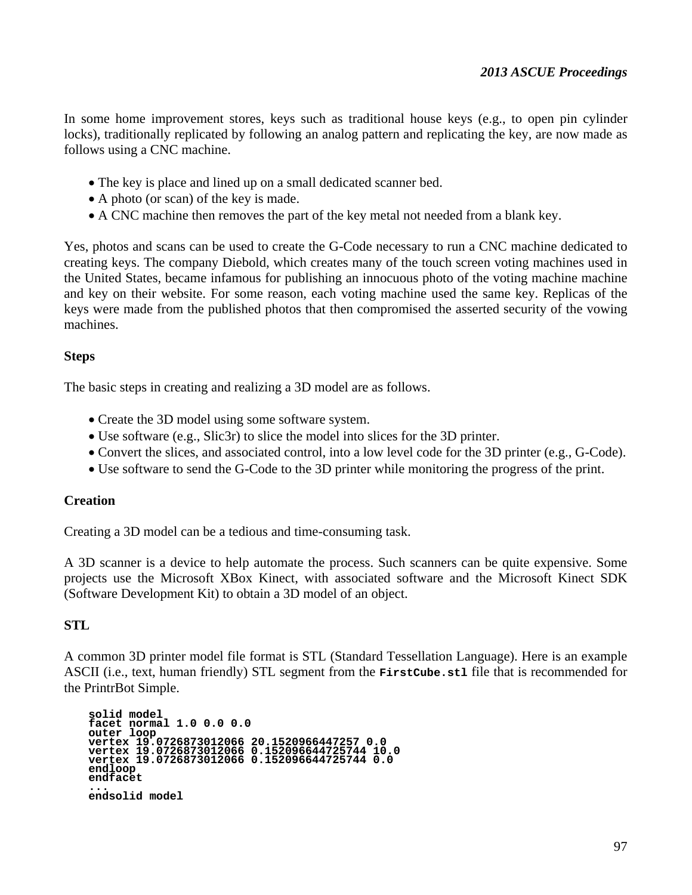In some home improvement stores, keys such as traditional house keys (e.g., to open pin cylinder locks), traditionally replicated by following an analog pattern and replicating the key, are now made as follows using a CNC machine.

- The key is place and lined up on a small dedicated scanner bed.
- A photo (or scan) of the key is made.
- A CNC machine then removes the part of the key metal not needed from a blank key.

Yes, photos and scans can be used to create the G-Code necessary to run a CNC machine dedicated to creating keys. The company Diebold, which creates many of the touch screen voting machines used in the United States, became infamous for publishing an innocuous photo of the voting machine machine and key on their website. For some reason, each voting machine used the same key. Replicas of the keys were made from the published photos that then compromised the asserted security of the vowing machines.

#### **Steps**

The basic steps in creating and realizing a 3D model are as follows.

- Create the 3D model using some software system.
- Use software (e.g., Slic3r) to slice the model into slices for the 3D printer.
- Convert the slices, and associated control, into a low level code for the 3D printer (e.g., G-Code).
- Use software to send the G-Code to the 3D printer while monitoring the progress of the print.

#### **Creation**

Creating a 3D model can be a tedious and time-consuming task.

A 3D scanner is a device to help automate the process. Such scanners can be quite expensive. Some projects use the Microsoft XBox Kinect, with associated software and the Microsoft Kinect SDK (Software Development Kit) to obtain a 3D model of an object.

#### **STL**

A common 3D printer model file format is STL (Standard Tessellation Language). Here is an example ASCII (i.e., text, human friendly) STL segment from the **FirstCube.stl** file that is recommended for the PrintrBot Simple.

```
solid model 
facet normal 1.0 0.0 0.0 
outer loop 
vertex 19.0726873012066 20.1520966447257 0.0 
vertex 19.0726873012066 0.152096644725744 10.0 
vertex 19.0726873012066 0.152096644725744 0.0 
endloop 
endfacet 
... 
endsolid model
```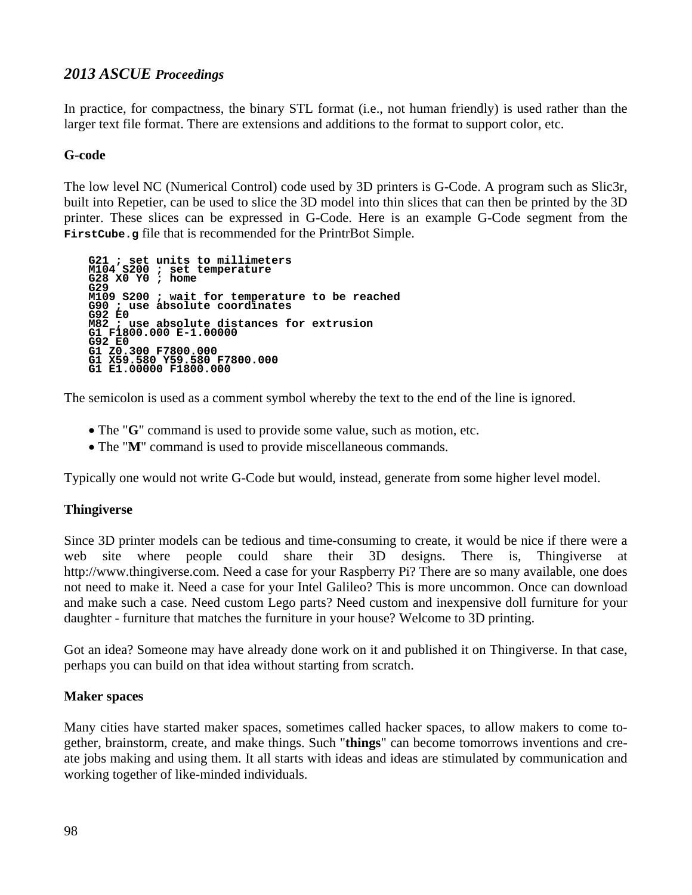## *2013 ASCUE Proceedings*

In practice, for compactness, the binary STL format (i.e., not human friendly) is used rather than the larger text file format. There are extensions and additions to the format to support color, etc.

## **G-code**

The low level NC (Numerical Control) code used by 3D printers is G-Code. A program such as Slic3r, built into Repetier, can be used to slice the 3D model into thin slices that can then be printed by the 3D printer. These slices can be expressed in G-Code. Here is an example G-Code segment from the **FirstCube.g** file that is recommended for the PrintrBot Simple.

```
G21 ; set units to millimeters 
M104 S200 ; set temperature 
G28 X0 Y0 ; home 
G29 
M109 S200 ; wait for temperature to be reached 
G90 ; use absolute coordinates 
G92 E0 
M82 ; use absolute distances for extrusion 
G1 F1800.000 E-1.00000 
G92 E0 
G1 Z0.300 F7800.000 
G1 X59.580 Y59.580 F7800.000 
G1 E1.00000 F1800.000
```
The semicolon is used as a comment symbol whereby the text to the end of the line is ignored.

- The "**G**" command is used to provide some value, such as motion, etc.
- The "**M**" command is used to provide miscellaneous commands.

Typically one would not write G-Code but would, instead, generate from some higher level model.

### **Thingiverse**

Since 3D printer models can be tedious and time-consuming to create, it would be nice if there were a web site where people could share their 3D designs. There is, Thingiverse at http://www.thingiverse.com. Need a case for your Raspberry Pi? There are so many available, one does not need to make it. Need a case for your Intel Galileo? This is more uncommon. Once can download and make such a case. Need custom Lego parts? Need custom and inexpensive doll furniture for your daughter - furniture that matches the furniture in your house? Welcome to 3D printing.

Got an idea? Someone may have already done work on it and published it on Thingiverse. In that case, perhaps you can build on that idea without starting from scratch.

### **Maker spaces**

Many cities have started maker spaces, sometimes called hacker spaces, to allow makers to come together, brainstorm, create, and make things. Such "**things**" can become tomorrows inventions and create jobs making and using them. It all starts with ideas and ideas are stimulated by communication and working together of like-minded individuals.